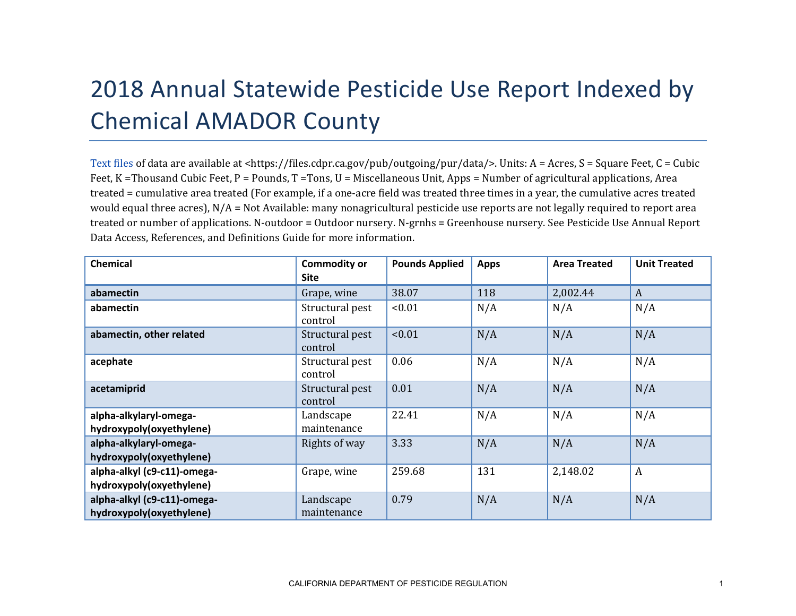## 2018 Annual Statewide Pesticide Use Report Indexed by Chemical AMADOR County

[Text files](https://files.cdpr.ca.gov/pub/outgoing/pur/data/) of data are available at <https://files.cdpr.ca.gov/pub/outgoing/pur/data/>. Units: A = Acres, S = Square Feet, C = Cubic Feet, K = Thousand Cubic Feet, P = Pounds, T = Tons, U = Miscellaneous Unit, Apps = Number of agricultural applications, Area treated = cumulative area treated (For example, if a one-acre field was treated three times in a year, the cumulative acres treated would equal three acres), N/A = Not Available: many nonagricultural pesticide use reports are not legally required to report area treated or number of applications. N-outdoor = Outdoor nursery. N-grnhs = Greenhouse nursery. See Pesticide Use Annual Report Data Access, References, and Definitions Guide for more information.

| <b>Chemical</b>                                         | <b>Commodity or</b><br><b>Site</b> | <b>Pounds Applied</b> | <b>Apps</b> | <b>Area Treated</b> | <b>Unit Treated</b> |
|---------------------------------------------------------|------------------------------------|-----------------------|-------------|---------------------|---------------------|
| abamectin                                               | Grape, wine                        | 38.07                 | 118         | 2,002.44            | A                   |
| abamectin                                               | Structural pest<br>control         | < 0.01                | N/A         | N/A                 | N/A                 |
| abamectin, other related                                | Structural pest<br>control         | < 0.01                | N/A         | N/A                 | N/A                 |
| acephate                                                | Structural pest<br>control         | 0.06                  | N/A         | N/A                 | N/A                 |
| acetamiprid                                             | Structural pest<br>control         | 0.01                  | N/A         | N/A                 | N/A                 |
| alpha-alkylaryl-omega-<br>hydroxypoly(oxyethylene)      | Landscape<br>maintenance           | 22.41                 | N/A         | N/A                 | N/A                 |
| alpha-alkylaryl-omega-<br>hydroxypoly(oxyethylene)      | Rights of way                      | 3.33                  | N/A         | N/A                 | N/A                 |
| alpha-alkyl (c9-c11)-omega-<br>hydroxypoly(oxyethylene) | Grape, wine                        | 259.68                | 131         | 2,148.02            | $\boldsymbol{A}$    |
| alpha-alkyl (c9-c11)-omega-<br>hydroxypoly(oxyethylene) | Landscape<br>maintenance           | 0.79                  | N/A         | N/A                 | N/A                 |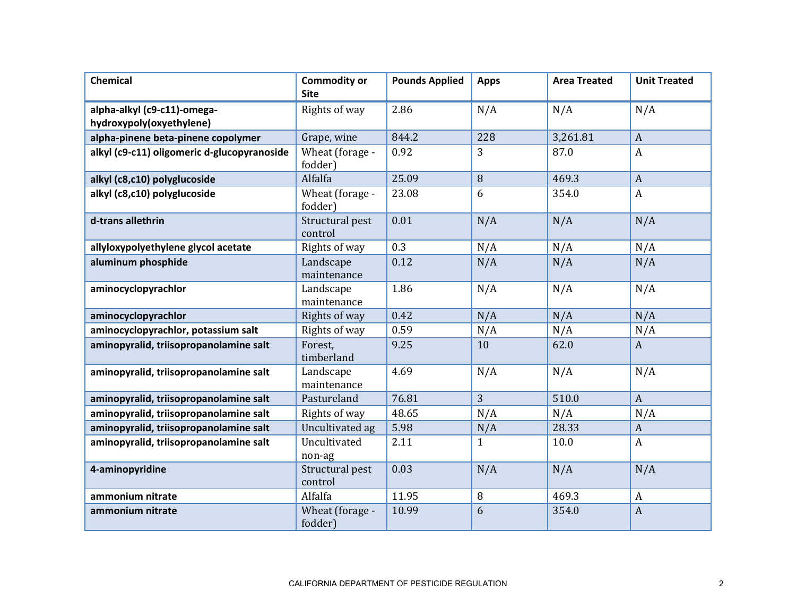| <b>Chemical</b>                                         | <b>Commodity or</b><br><b>Site</b> | <b>Pounds Applied</b> | <b>Apps</b>  | <b>Area Treated</b> | <b>Unit Treated</b> |
|---------------------------------------------------------|------------------------------------|-----------------------|--------------|---------------------|---------------------|
| alpha-alkyl (c9-c11)-omega-<br>hydroxypoly(oxyethylene) | Rights of way                      | 2.86                  | N/A          | N/A                 | N/A                 |
| alpha-pinene beta-pinene copolymer                      | Grape, wine                        | 844.2                 | 228          | 3,261.81            | $\overline{A}$      |
| alkyl (c9-c11) oligomeric d-glucopyranoside             | Wheat (forage -<br>fodder)         | 0.92                  | 3            | 87.0                | $\boldsymbol{A}$    |
| alkyl (c8,c10) polyglucoside                            | Alfalfa                            | 25.09                 | 8            | 469.3               | $\overline{A}$      |
| alkyl (c8,c10) polyglucoside                            | Wheat (forage -<br>fodder)         | 23.08                 | 6            | 354.0               | $\boldsymbol{A}$    |
| d-trans allethrin                                       | Structural pest<br>control         | 0.01                  | N/A          | N/A                 | N/A                 |
| allyloxypolyethylene glycol acetate                     | Rights of way                      | 0.3                   | N/A          | N/A                 | N/A                 |
| aluminum phosphide                                      | Landscape<br>maintenance           | 0.12                  | N/A          | N/A                 | N/A                 |
| aminocyclopyrachlor                                     | Landscape<br>maintenance           | 1.86                  | N/A          | N/A                 | N/A                 |
| aminocyclopyrachlor                                     | Rights of way                      | 0.42                  | N/A          | N/A                 | N/A                 |
| aminocyclopyrachlor, potassium salt                     | Rights of way                      | 0.59                  | N/A          | N/A                 | N/A                 |
| aminopyralid, triisopropanolamine salt                  | Forest,<br>timberland              | 9.25                  | 10           | 62.0                | $\mathbf{A}$        |
| aminopyralid, triisopropanolamine salt                  | Landscape<br>maintenance           | 4.69                  | N/A          | N/A                 | N/A                 |
| aminopyralid, triisopropanolamine salt                  | Pastureland                        | 76.81                 | 3            | 510.0               | $\mathbf{A}$        |
| aminopyralid, triisopropanolamine salt                  | Rights of way                      | 48.65                 | N/A          | N/A                 | N/A                 |
| aminopyralid, triisopropanolamine salt                  | Uncultivated ag                    | 5.98                  | N/A          | 28.33               | $\boldsymbol{A}$    |
| aminopyralid, triisopropanolamine salt                  | Uncultivated<br>non-ag             | 2.11                  | $\mathbf{1}$ | 10.0                | A                   |
| 4-aminopyridine                                         | Structural pest<br>control         | 0.03                  | N/A          | N/A                 | N/A                 |
| ammonium nitrate                                        | Alfalfa                            | 11.95                 | 8            | 469.3               | $\boldsymbol{A}$    |
| ammonium nitrate                                        | Wheat (forage -<br>fodder)         | 10.99                 | 6            | 354.0               | $\boldsymbol{A}$    |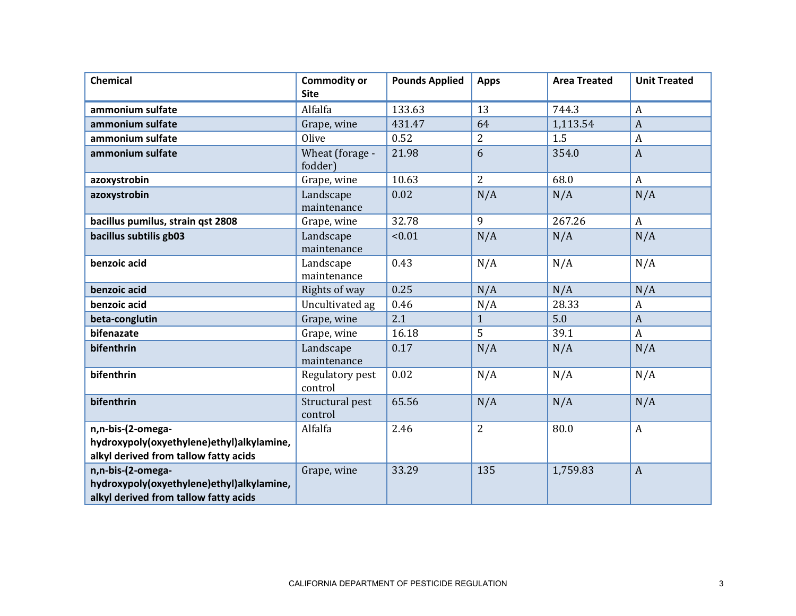| Chemical                                                                                                | <b>Commodity or</b><br><b>Site</b> | <b>Pounds Applied</b> | <b>Apps</b>    | <b>Area Treated</b> | <b>Unit Treated</b> |
|---------------------------------------------------------------------------------------------------------|------------------------------------|-----------------------|----------------|---------------------|---------------------|
| ammonium sulfate                                                                                        | Alfalfa                            | 133.63                | 13             | 744.3               | $\boldsymbol{A}$    |
| ammonium sulfate                                                                                        | Grape, wine                        | 431.47                | 64             | 1,113.54            | $\overline{A}$      |
| ammonium sulfate                                                                                        | Olive                              | 0.52                  | $\overline{2}$ | 1.5                 | A                   |
| ammonium sulfate                                                                                        | Wheat (forage -<br>fodder)         | 21.98                 | 6              | 354.0               | $\mathbf{A}$        |
| azoxystrobin                                                                                            | Grape, wine                        | 10.63                 | $\overline{2}$ | 68.0                | $\mathbf{A}$        |
| azoxystrobin                                                                                            | Landscape<br>maintenance           | 0.02                  | N/A            | N/A                 | N/A                 |
| bacillus pumilus, strain qst 2808                                                                       | Grape, wine                        | 32.78                 | 9              | 267.26              | $\boldsymbol{A}$    |
| bacillus subtilis gb03                                                                                  | Landscape<br>maintenance           | < 0.01                | N/A            | N/A                 | N/A                 |
| benzoic acid                                                                                            | Landscape<br>maintenance           | 0.43                  | N/A            | N/A                 | N/A                 |
| benzoic acid                                                                                            | Rights of way                      | 0.25                  | N/A            | N/A                 | N/A                 |
| benzoic acid                                                                                            | Uncultivated ag                    | 0.46                  | N/A            | 28.33               | $\boldsymbol{A}$    |
| beta-conglutin                                                                                          | Grape, wine                        | 2.1                   | $\mathbf{1}$   | 5.0                 | $\boldsymbol{A}$    |
| bifenazate                                                                                              | Grape, wine                        | 16.18                 | 5              | 39.1                | $\boldsymbol{A}$    |
| bifenthrin                                                                                              | Landscape<br>maintenance           | 0.17                  | N/A            | N/A                 | N/A                 |
| bifenthrin                                                                                              | Regulatory pest<br>control         | 0.02                  | N/A            | N/A                 | N/A                 |
| bifenthrin                                                                                              | Structural pest<br>control         | 65.56                 | N/A            | N/A                 | N/A                 |
| n,n-bis-(2-omega-                                                                                       | Alfalfa                            | 2.46                  | 2              | 80.0                | $\boldsymbol{A}$    |
| hydroxypoly(oxyethylene)ethyl)alkylamine,<br>alkyl derived from tallow fatty acids                      |                                    |                       |                |                     |                     |
| n,n-bis-(2-omega-<br>hydroxypoly(oxyethylene)ethyl)alkylamine,<br>alkyl derived from tallow fatty acids | Grape, wine                        | 33.29                 | 135            | 1,759.83            | $\boldsymbol{A}$    |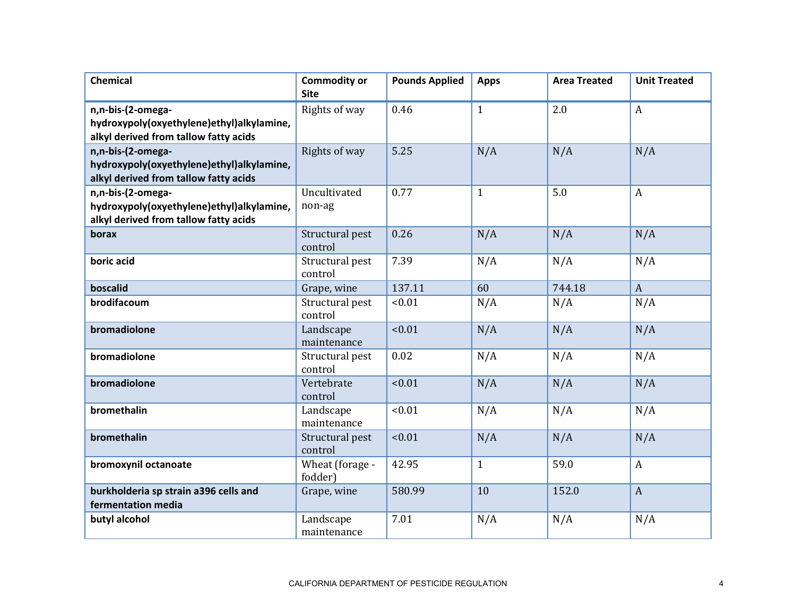| <b>Chemical</b>                                             | <b>Commodity or</b><br><b>Site</b> | <b>Pounds Applied</b> | <b>Apps</b>  | <b>Area Treated</b> | <b>Unit Treated</b> |
|-------------------------------------------------------------|------------------------------------|-----------------------|--------------|---------------------|---------------------|
| n,n-bis-(2-omega-                                           | Rights of way                      | 0.46                  | $\mathbf{1}$ | 2.0                 | A                   |
| hydroxypoly(oxyethylene)ethyl)alkylamine,                   |                                    |                       |              |                     |                     |
| alkyl derived from tallow fatty acids                       |                                    |                       |              |                     |                     |
| n,n-bis-(2-omega-                                           | Rights of way                      | 5.25                  | N/A          | N/A                 | N/A                 |
| hydroxypoly(oxyethylene)ethyl)alkylamine,                   |                                    |                       |              |                     |                     |
| alkyl derived from tallow fatty acids                       |                                    |                       |              |                     |                     |
| n,n-bis-(2-omega-                                           | Uncultivated                       | 0.77                  | $\mathbf{1}$ | 5.0                 | $\mathbf{A}$        |
| hydroxypoly(oxyethylene)ethyl)alkylamine,                   | non-ag                             |                       |              |                     |                     |
| alkyl derived from tallow fatty acids                       |                                    |                       |              |                     |                     |
| borax                                                       | Structural pest<br>control         | 0.26                  | N/A          | N/A                 | N/A                 |
| boric acid                                                  | Structural pest<br>control         | 7.39                  | N/A          | N/A                 | N/A                 |
| boscalid                                                    | Grape, wine                        | 137.11                | 60           | 744.18              | $\mathbf{A}$        |
| brodifacoum                                                 | Structural pest<br>control         | < 0.01                | N/A          | N/A                 | N/A                 |
| bromadiolone                                                | Landscape<br>maintenance           | < 0.01                | N/A          | N/A                 | N/A                 |
| bromadiolone                                                | Structural pest<br>control         | 0.02                  | N/A          | N/A                 | N/A                 |
| bromadiolone                                                | Vertebrate<br>control              | < 0.01                | N/A          | N/A                 | N/A                 |
| bromethalin                                                 | Landscape<br>maintenance           | < 0.01                | N/A          | N/A                 | N/A                 |
| bromethalin                                                 | Structural pest<br>control         | < 0.01                | N/A          | N/A                 | N/A                 |
| bromoxynil octanoate                                        | Wheat (forage -<br>fodder)         | 42.95                 | $\mathbf{1}$ | 59.0                | $\mathbf{A}$        |
| burkholderia sp strain a396 cells and<br>fermentation media | Grape, wine                        | 580.99                | 10           | 152.0               | $\overline{A}$      |
| butyl alcohol                                               | Landscape<br>maintenance           | 7.01                  | N/A          | N/A                 | N/A                 |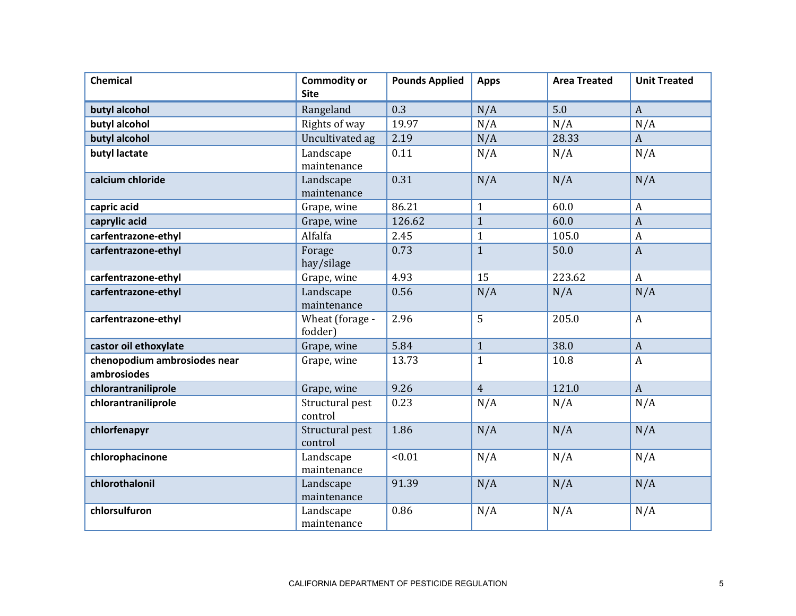| <b>Chemical</b>                             | <b>Commodity or</b><br><b>Site</b> | <b>Pounds Applied</b> | <b>Apps</b>    | <b>Area Treated</b> | <b>Unit Treated</b> |
|---------------------------------------------|------------------------------------|-----------------------|----------------|---------------------|---------------------|
| butyl alcohol                               | Rangeland                          | 0.3                   | N/A            | 5.0                 | $\mathbf{A}$        |
| butyl alcohol                               | Rights of way                      | 19.97                 | N/A            | N/A                 | N/A                 |
| butyl alcohol                               | Uncultivated ag                    | 2.19                  | N/A            | 28.33               | $\mathbf{A}$        |
| butyl lactate                               | Landscape<br>maintenance           | 0.11                  | N/A            | N/A                 | N/A                 |
| calcium chloride                            | Landscape<br>maintenance           | 0.31                  | N/A            | N/A                 | N/A                 |
| capric acid                                 | Grape, wine                        | 86.21                 | $\mathbf{1}$   | 60.0                | $\boldsymbol{A}$    |
| caprylic acid                               | Grape, wine                        | 126.62                | $\mathbf{1}$   | 60.0                | $\overline{A}$      |
| carfentrazone-ethyl                         | Alfalfa                            | 2.45                  | $\mathbf{1}$   | 105.0               | $\boldsymbol{A}$    |
| carfentrazone-ethyl                         | Forage<br>hay/silage               | 0.73                  | $\mathbf{1}$   | 50.0                | $\mathbf{A}$        |
| carfentrazone-ethyl                         | Grape, wine                        | 4.93                  | 15             | 223.62              | $\boldsymbol{A}$    |
| carfentrazone-ethyl                         | Landscape<br>maintenance           | 0.56                  | N/A            | N/A                 | N/A                 |
| carfentrazone-ethyl                         | Wheat (forage -<br>fodder)         | 2.96                  | 5              | 205.0               | $\boldsymbol{A}$    |
| castor oil ethoxylate                       | Grape, wine                        | 5.84                  | $\mathbf{1}$   | 38.0                | $\boldsymbol{A}$    |
| chenopodium ambrosiodes near<br>ambrosiodes | Grape, wine                        | 13.73                 | $\mathbf{1}$   | 10.8                | $\overline{A}$      |
| chlorantraniliprole                         | Grape, wine                        | 9.26                  | $\overline{4}$ | 121.0               | $\mathbf{A}$        |
| chlorantraniliprole                         | Structural pest<br>control         | 0.23                  | N/A            | N/A                 | N/A                 |
| chlorfenapyr                                | Structural pest<br>control         | 1.86                  | N/A            | N/A                 | N/A                 |
| chlorophacinone                             | Landscape<br>maintenance           | < 0.01                | N/A            | N/A                 | N/A                 |
| chlorothalonil                              | Landscape<br>maintenance           | 91.39                 | N/A            | N/A                 | N/A                 |
| chlorsulfuron                               | Landscape<br>maintenance           | 0.86                  | N/A            | N/A                 | N/A                 |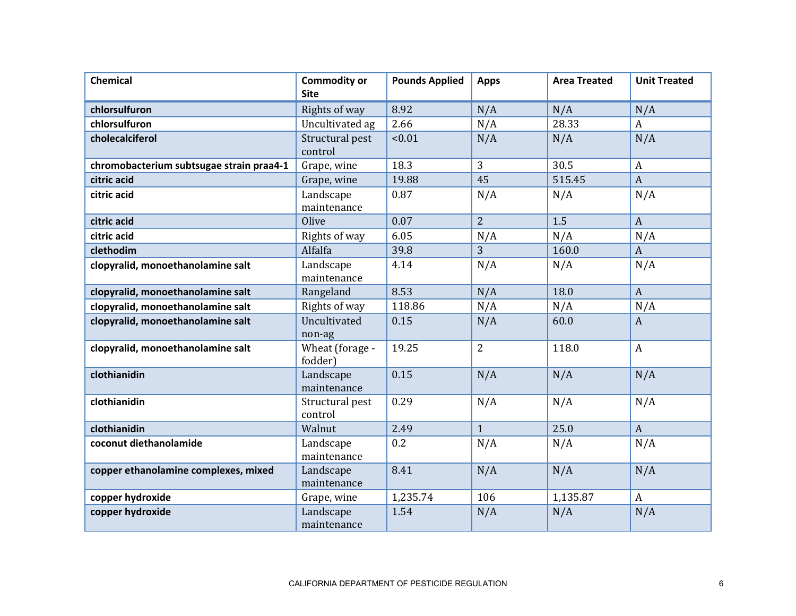| <b>Chemical</b>                          | <b>Commodity or</b><br><b>Site</b> | <b>Pounds Applied</b> | <b>Apps</b>    | <b>Area Treated</b> | <b>Unit Treated</b> |
|------------------------------------------|------------------------------------|-----------------------|----------------|---------------------|---------------------|
| chlorsulfuron                            | Rights of way                      | 8.92                  | N/A            | N/A                 | N/A                 |
| chlorsulfuron                            | Uncultivated ag                    | 2.66                  | N/A            | 28.33               | $\boldsymbol{A}$    |
| cholecalciferol                          | Structural pest<br>control         | < 0.01                | N/A            | N/A                 | N/A                 |
| chromobacterium subtsugae strain praa4-1 | Grape, wine                        | 18.3                  | 3              | 30.5                | $\boldsymbol{A}$    |
| citric acid                              | Grape, wine                        | 19.88                 | 45             | 515.45              | $\boldsymbol{A}$    |
| citric acid                              | Landscape<br>maintenance           | 0.87                  | N/A            | N/A                 | N/A                 |
| citric acid                              | Olive                              | 0.07                  | $\overline{2}$ | 1.5                 | $\boldsymbol{A}$    |
| citric acid                              | Rights of way                      | 6.05                  | N/A            | N/A                 | N/A                 |
| clethodim                                | Alfalfa                            | 39.8                  | 3              | 160.0               | $\mathbf{A}$        |
| clopyralid, monoethanolamine salt        | Landscape<br>maintenance           | 4.14                  | N/A            | N/A                 | N/A                 |
| clopyralid, monoethanolamine salt        | Rangeland                          | 8.53                  | N/A            | 18.0                | $\mathbf{A}$        |
| clopyralid, monoethanolamine salt        | Rights of way                      | 118.86                | N/A            | N/A                 | N/A                 |
| clopyralid, monoethanolamine salt        | Uncultivated<br>non-ag             | 0.15                  | N/A            | 60.0                | $\mathbf{A}$        |
| clopyralid, monoethanolamine salt        | Wheat (forage -<br>fodder)         | 19.25                 | $\overline{2}$ | 118.0               | $\boldsymbol{A}$    |
| clothianidin                             | Landscape<br>maintenance           | 0.15                  | N/A            | N/A                 | N/A                 |
| clothianidin                             | Structural pest<br>control         | 0.29                  | N/A            | N/A                 | N/A                 |
| clothianidin                             | Walnut                             | 2.49                  | $\mathbf{1}$   | 25.0                | $\mathbf{A}$        |
| coconut diethanolamide                   | Landscape<br>maintenance           | 0.2                   | N/A            | N/A                 | N/A                 |
| copper ethanolamine complexes, mixed     | Landscape<br>maintenance           | 8.41                  | N/A            | N/A                 | N/A                 |
| copper hydroxide                         | Grape, wine                        | 1,235.74              | 106            | 1,135.87            | $\boldsymbol{A}$    |
| copper hydroxide                         | Landscape<br>maintenance           | 1.54                  | N/A            | N/A                 | N/A                 |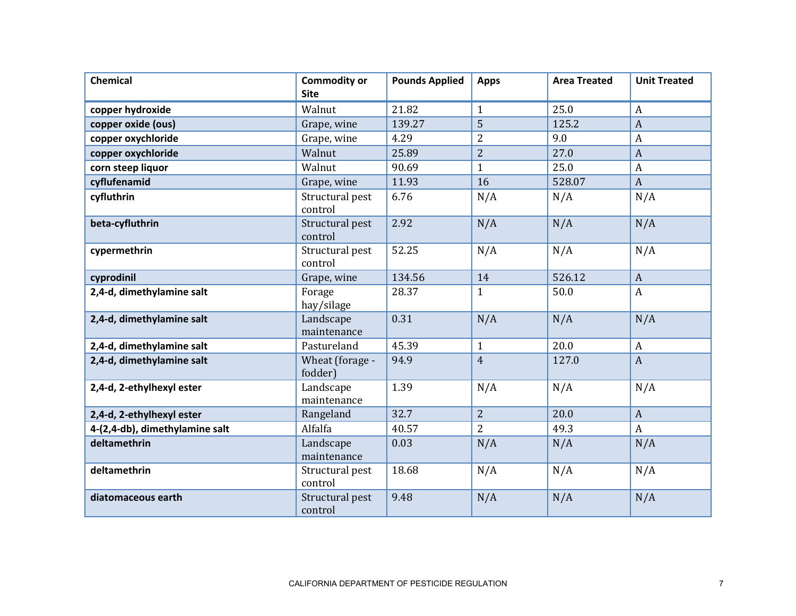| <b>Chemical</b>                | <b>Commodity or</b><br><b>Site</b> | <b>Pounds Applied</b> | <b>Apps</b>    | <b>Area Treated</b> | <b>Unit Treated</b> |
|--------------------------------|------------------------------------|-----------------------|----------------|---------------------|---------------------|
| copper hydroxide               | Walnut                             | 21.82                 | 1              | 25.0                | $\boldsymbol{A}$    |
| copper oxide (ous)             | Grape, wine                        | 139.27                | 5              | 125.2               | $\overline{A}$      |
| copper oxychloride             | Grape, wine                        | 4.29                  | $\overline{2}$ | 9.0                 | A                   |
| copper oxychloride             | Walnut                             | 25.89                 | $\overline{2}$ | 27.0                | $\overline{A}$      |
| corn steep liquor              | Walnut                             | 90.69                 | $\mathbf{1}$   | 25.0                | $\boldsymbol{A}$    |
| cyflufenamid                   | Grape, wine                        | 11.93                 | 16             | 528.07              | $\boldsymbol{A}$    |
| cyfluthrin                     | Structural pest<br>control         | 6.76                  | N/A            | N/A                 | N/A                 |
| beta-cyfluthrin                | Structural pest<br>control         | 2.92                  | N/A            | N/A                 | N/A                 |
| cypermethrin                   | Structural pest<br>control         | 52.25                 | N/A            | N/A                 | N/A                 |
| cyprodinil                     | Grape, wine                        | 134.56                | 14             | 526.12              | $\mathbf{A}$        |
| 2,4-d, dimethylamine salt      | Forage<br>hay/silage               | 28.37                 | $\mathbf{1}$   | 50.0                | $\boldsymbol{A}$    |
| 2,4-d, dimethylamine salt      | Landscape<br>maintenance           | 0.31                  | N/A            | N/A                 | N/A                 |
| 2,4-d, dimethylamine salt      | Pastureland                        | 45.39                 | $\mathbf{1}$   | 20.0                | A                   |
| 2,4-d, dimethylamine salt      | Wheat (forage -<br>fodder)         | 94.9                  | $\overline{4}$ | 127.0               | $\mathbf{A}$        |
| 2,4-d, 2-ethylhexyl ester      | Landscape<br>maintenance           | 1.39                  | N/A            | N/A                 | N/A                 |
| 2,4-d, 2-ethylhexyl ester      | Rangeland                          | 32.7                  | 2              | 20.0                | $\mathbf{A}$        |
| 4-(2,4-db), dimethylamine salt | Alfalfa                            | 40.57                 | $\overline{2}$ | 49.3                | $\boldsymbol{A}$    |
| deltamethrin                   | Landscape<br>maintenance           | 0.03                  | N/A            | N/A                 | N/A                 |
| deltamethrin                   | Structural pest<br>control         | 18.68                 | N/A            | N/A                 | N/A                 |
| diatomaceous earth             | Structural pest<br>control         | 9.48                  | N/A            | N/A                 | N/A                 |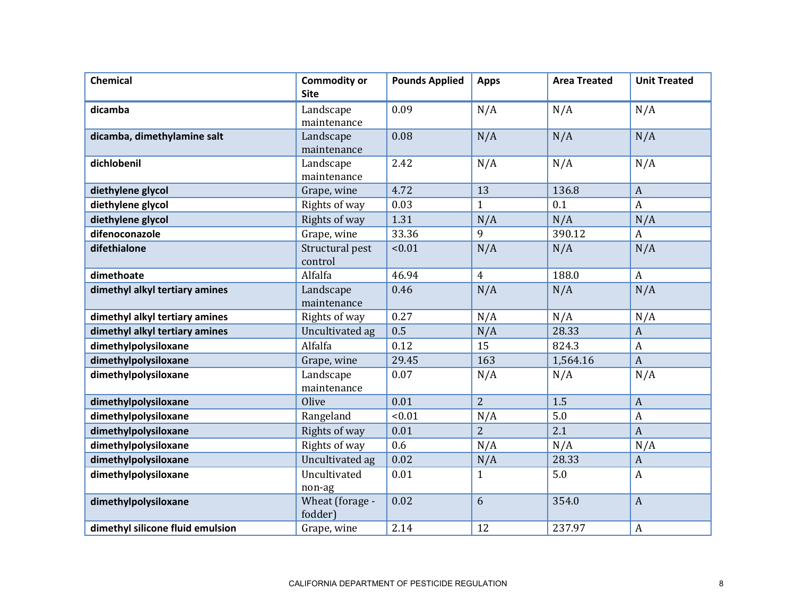| <b>Chemical</b>                  | <b>Commodity or</b><br><b>Site</b> | <b>Pounds Applied</b> | <b>Apps</b>    | <b>Area Treated</b> | <b>Unit Treated</b> |
|----------------------------------|------------------------------------|-----------------------|----------------|---------------------|---------------------|
| dicamba                          | Landscape<br>maintenance           | 0.09                  | N/A            | N/A                 | N/A                 |
| dicamba, dimethylamine salt      | Landscape<br>maintenance           | 0.08                  | N/A            | N/A                 | N/A                 |
| dichlobenil                      | Landscape<br>maintenance           | 2.42                  | N/A            | N/A                 | N/A                 |
| diethylene glycol                | Grape, wine                        | 4.72                  | 13             | 136.8               | $\boldsymbol{A}$    |
| diethylene glycol                | Rights of way                      | 0.03                  | $\mathbf{1}$   | 0.1                 | $\mathbf{A}$        |
| diethylene glycol                | Rights of way                      | 1.31                  | N/A            | N/A                 | N/A                 |
| difenoconazole                   | Grape, wine                        | 33.36                 | 9              | 390.12              | $\boldsymbol{A}$    |
| difethialone                     | Structural pest<br>control         | < 0.01                | N/A            | N/A                 | N/A                 |
| dimethoate                       | Alfalfa                            | 46.94                 | $\overline{4}$ | 188.0               | $\mathbf{A}$        |
| dimethyl alkyl tertiary amines   | Landscape<br>maintenance           | 0.46                  | N/A            | N/A                 | N/A                 |
| dimethyl alkyl tertiary amines   | Rights of way                      | 0.27                  | N/A            | N/A                 | N/A                 |
| dimethyl alkyl tertiary amines   | Uncultivated ag                    | 0.5                   | N/A            | 28.33               | $\overline{A}$      |
| dimethylpolysiloxane             | Alfalfa                            | 0.12                  | 15             | 824.3               | $\boldsymbol{A}$    |
| dimethylpolysiloxane             | Grape, wine                        | 29.45                 | 163            | 1,564.16            | $\boldsymbol{A}$    |
| dimethylpolysiloxane             | Landscape<br>maintenance           | 0.07                  | N/A            | N/A                 | N/A                 |
| dimethylpolysiloxane             | Olive                              | 0.01                  | $\overline{2}$ | 1.5                 | $\boldsymbol{A}$    |
| dimethylpolysiloxane             | Rangeland                          | < 0.01                | N/A            | 5.0                 | $\boldsymbol{A}$    |
| dimethylpolysiloxane             | Rights of way                      | 0.01                  | $\overline{2}$ | 2.1                 | $\overline{A}$      |
| dimethylpolysiloxane             | Rights of way                      | 0.6                   | N/A            | N/A                 | N/A                 |
| dimethylpolysiloxane             | Uncultivated ag                    | 0.02                  | N/A            | 28.33               | $\boldsymbol{A}$    |
| dimethylpolysiloxane             | Uncultivated<br>non-ag             | 0.01                  | $\mathbf{1}$   | 5.0                 | $\boldsymbol{A}$    |
| dimethylpolysiloxane             | Wheat (forage -<br>fodder)         | 0.02                  | 6              | 354.0               | $\mathbf{A}$        |
| dimethyl silicone fluid emulsion | Grape, wine                        | 2.14                  | 12             | 237.97              | A                   |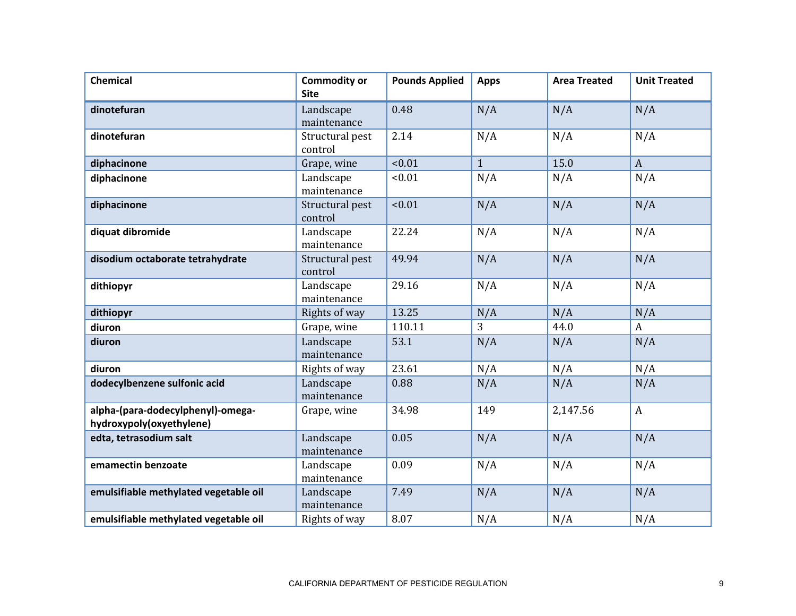| <b>Chemical</b>                                               | <b>Commodity or</b><br><b>Site</b> | <b>Pounds Applied</b> | <b>Apps</b>  | <b>Area Treated</b> | <b>Unit Treated</b> |
|---------------------------------------------------------------|------------------------------------|-----------------------|--------------|---------------------|---------------------|
| dinotefuran                                                   | Landscape<br>maintenance           | 0.48                  | N/A          | N/A                 | N/A                 |
| dinotefuran                                                   | Structural pest<br>control         | 2.14                  | N/A          | N/A                 | N/A                 |
| diphacinone                                                   | Grape, wine                        | < 0.01                | $\mathbf{1}$ | 15.0                | $\mathbf{A}$        |
| diphacinone                                                   | Landscape<br>maintenance           | < 0.01                | N/A          | N/A                 | N/A                 |
| diphacinone                                                   | Structural pest<br>control         | < 0.01                | N/A          | N/A                 | N/A                 |
| diquat dibromide                                              | Landscape<br>maintenance           | 22.24                 | N/A          | N/A                 | N/A                 |
| disodium octaborate tetrahydrate                              | Structural pest<br>control         | 49.94                 | N/A          | N/A                 | N/A                 |
| dithiopyr                                                     | Landscape<br>maintenance           | 29.16                 | N/A          | N/A                 | N/A                 |
| dithiopyr                                                     | Rights of way                      | 13.25                 | N/A          | N/A                 | N/A                 |
| diuron                                                        | Grape, wine                        | 110.11                | 3            | 44.0                | $\boldsymbol{A}$    |
| diuron                                                        | Landscape<br>maintenance           | 53.1                  | N/A          | N/A                 | N/A                 |
| diuron                                                        | Rights of way                      | 23.61                 | N/A          | N/A                 | N/A                 |
| dodecylbenzene sulfonic acid                                  | Landscape<br>maintenance           | 0.88                  | N/A          | N/A                 | N/A                 |
| alpha-(para-dodecylphenyl)-omega-<br>hydroxypoly(oxyethylene) | Grape, wine                        | 34.98                 | 149          | 2,147.56            | $\boldsymbol{A}$    |
| edta, tetrasodium salt                                        | Landscape<br>maintenance           | 0.05                  | N/A          | N/A                 | N/A                 |
| emamectin benzoate                                            | Landscape<br>maintenance           | 0.09                  | N/A          | N/A                 | N/A                 |
| emulsifiable methylated vegetable oil                         | Landscape<br>maintenance           | 7.49                  | N/A          | N/A                 | N/A                 |
| emulsifiable methylated vegetable oil                         | Rights of way                      | 8.07                  | N/A          | N/A                 | N/A                 |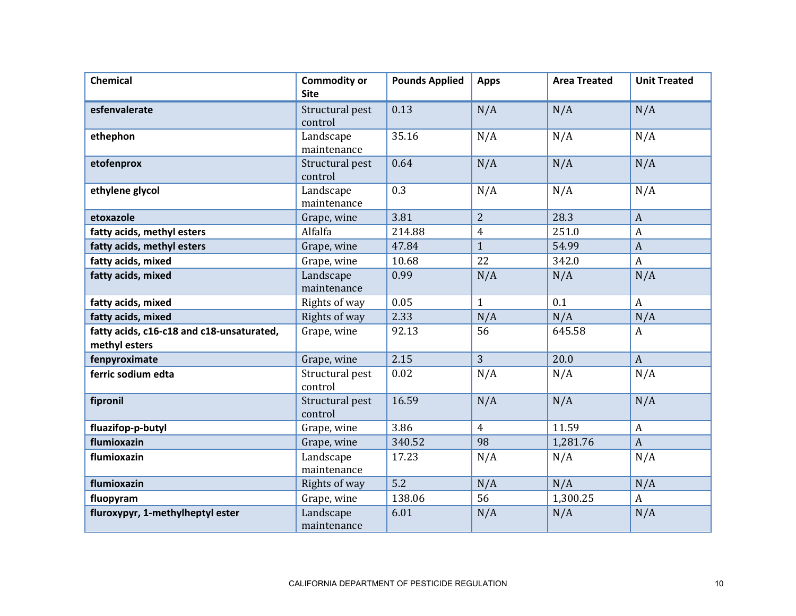| <b>Chemical</b>                                            | <b>Commodity or</b><br><b>Site</b> | <b>Pounds Applied</b> | <b>Apps</b>    | <b>Area Treated</b> | <b>Unit Treated</b> |
|------------------------------------------------------------|------------------------------------|-----------------------|----------------|---------------------|---------------------|
| esfenvalerate                                              | Structural pest<br>control         | 0.13                  | N/A            | N/A                 | N/A                 |
| ethephon                                                   | Landscape<br>maintenance           | 35.16                 | N/A            | N/A                 | N/A                 |
| etofenprox                                                 | Structural pest<br>control         | 0.64                  | N/A            | N/A                 | N/A                 |
| ethylene glycol                                            | Landscape<br>maintenance           | 0.3                   | N/A            | N/A                 | N/A                 |
| etoxazole                                                  | Grape, wine                        | 3.81                  | $\overline{2}$ | 28.3                | $\boldsymbol{A}$    |
| fatty acids, methyl esters                                 | Alfalfa                            | 214.88                | $\overline{4}$ | 251.0               | $\boldsymbol{A}$    |
| fatty acids, methyl esters                                 | Grape, wine                        | 47.84                 | $\mathbf{1}$   | 54.99               | $\mathbf{A}$        |
| fatty acids, mixed                                         | Grape, wine                        | 10.68                 | 22             | 342.0               | $\overline{A}$      |
| fatty acids, mixed                                         | Landscape<br>maintenance           | 0.99                  | N/A            | N/A                 | N/A                 |
| fatty acids, mixed                                         | Rights of way                      | 0.05                  | $\mathbf{1}$   | 0.1                 | $\mathbf{A}$        |
| fatty acids, mixed                                         | Rights of way                      | 2.33                  | N/A            | N/A                 | N/A                 |
| fatty acids, c16-c18 and c18-unsaturated,<br>methyl esters | Grape, wine                        | 92.13                 | 56             | 645.58              | $\mathbf{A}$        |
| fenpyroximate                                              | Grape, wine                        | 2.15                  | 3              | 20.0                | $\mathbf{A}$        |
| ferric sodium edta                                         | Structural pest<br>control         | 0.02                  | N/A            | N/A                 | N/A                 |
| fipronil                                                   | Structural pest<br>control         | 16.59                 | N/A            | N/A                 | N/A                 |
| fluazifop-p-butyl                                          | Grape, wine                        | 3.86                  | $\overline{4}$ | 11.59               | $\boldsymbol{A}$    |
| flumioxazin                                                | Grape, wine                        | 340.52                | 98             | 1,281.76            | $\mathbf{A}$        |
| flumioxazin                                                | Landscape<br>maintenance           | 17.23                 | N/A            | N/A                 | N/A                 |
| flumioxazin                                                | Rights of way                      | 5.2                   | N/A            | N/A                 | N/A                 |
| fluopyram                                                  | Grape, wine                        | 138.06                | 56             | 1,300.25            | $\mathbf{A}$        |
| fluroxypyr, 1-methylheptyl ester                           | Landscape<br>maintenance           | 6.01                  | N/A            | N/A                 | N/A                 |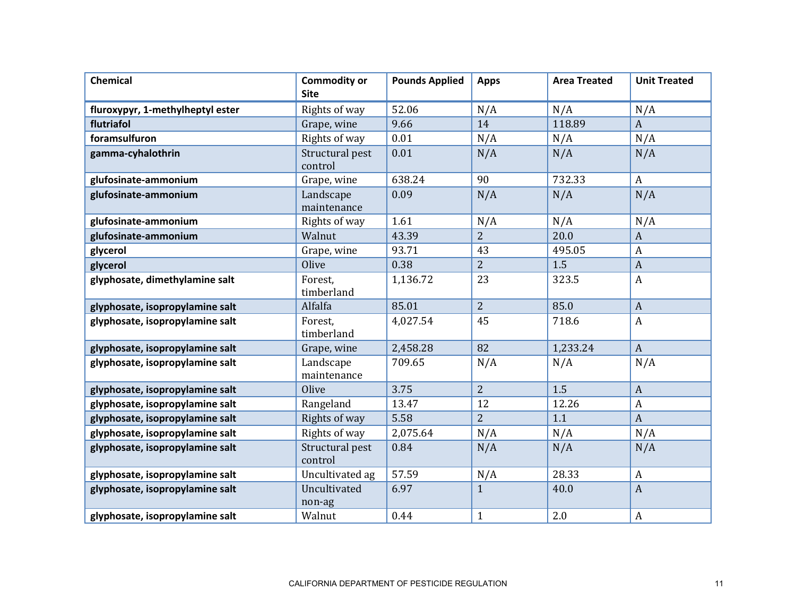| Chemical                         | <b>Commodity or</b><br><b>Site</b> | <b>Pounds Applied</b> | <b>Apps</b>    | <b>Area Treated</b> | <b>Unit Treated</b> |
|----------------------------------|------------------------------------|-----------------------|----------------|---------------------|---------------------|
| fluroxypyr, 1-methylheptyl ester | Rights of way                      | 52.06                 | N/A            | N/A                 | N/A                 |
| flutriafol                       | Grape, wine                        | 9.66                  | 14             | 118.89              | $\boldsymbol{A}$    |
| foramsulfuron                    | Rights of way                      | 0.01                  | N/A            | N/A                 | N/A                 |
| gamma-cyhalothrin                | Structural pest<br>control         | 0.01                  | N/A            | N/A                 | N/A                 |
| glufosinate-ammonium             | Grape, wine                        | 638.24                | 90             | 732.33              | $\boldsymbol{A}$    |
| glufosinate-ammonium             | Landscape<br>maintenance           | 0.09                  | N/A            | N/A                 | N/A                 |
| glufosinate-ammonium             | Rights of way                      | 1.61                  | N/A            | N/A                 | N/A                 |
| glufosinate-ammonium             | Walnut                             | 43.39                 | $\overline{2}$ | 20.0                | $\mathbf{A}$        |
| glycerol                         | Grape, wine                        | 93.71                 | 43             | 495.05              | $\boldsymbol{A}$    |
| glycerol                         | Olive                              | 0.38                  | 2              | 1.5                 | $\mathbf{A}$        |
| glyphosate, dimethylamine salt   | Forest.<br>timberland              | 1,136.72              | 23             | 323.5               | $\boldsymbol{A}$    |
| glyphosate, isopropylamine salt  | Alfalfa                            | 85.01                 | $\overline{2}$ | 85.0                | $\overline{A}$      |
| glyphosate, isopropylamine salt  | Forest,<br>timberland              | 4,027.54              | 45             | 718.6               | A                   |
| glyphosate, isopropylamine salt  | Grape, wine                        | 2,458.28              | 82             | 1,233.24            | $\mathbf{A}$        |
| glyphosate, isopropylamine salt  | Landscape<br>maintenance           | 709.65                | N/A            | N/A                 | N/A                 |
| glyphosate, isopropylamine salt  | Olive                              | 3.75                  | $\overline{2}$ | 1.5                 | $\overline{A}$      |
| glyphosate, isopropylamine salt  | Rangeland                          | 13.47                 | 12             | 12.26               | $\boldsymbol{A}$    |
| glyphosate, isopropylamine salt  | Rights of way                      | 5.58                  | $\overline{2}$ | 1.1                 | $\boldsymbol{A}$    |
| glyphosate, isopropylamine salt  | Rights of way                      | 2,075.64              | N/A            | N/A                 | N/A                 |
| glyphosate, isopropylamine salt  | Structural pest<br>control         | 0.84                  | N/A            | N/A                 | N/A                 |
| glyphosate, isopropylamine salt  | Uncultivated ag                    | 57.59                 | N/A            | 28.33               | $\boldsymbol{A}$    |
| glyphosate, isopropylamine salt  | Uncultivated<br>non-ag             | 6.97                  | $\mathbf{1}$   | 40.0                | $\boldsymbol{A}$    |
| glyphosate, isopropylamine salt  | Walnut                             | 0.44                  | $\mathbf{1}$   | 2.0                 | $\boldsymbol{A}$    |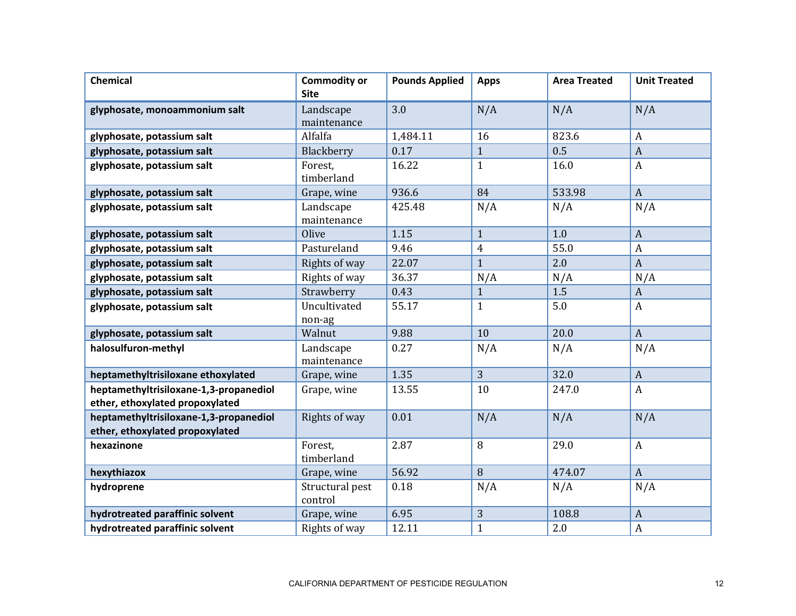| <b>Chemical</b>                                                           | <b>Commodity or</b><br><b>Site</b> | <b>Pounds Applied</b> | <b>Apps</b>    | <b>Area Treated</b> | <b>Unit Treated</b> |
|---------------------------------------------------------------------------|------------------------------------|-----------------------|----------------|---------------------|---------------------|
| glyphosate, monoammonium salt                                             | Landscape<br>maintenance           | 3.0                   | N/A            | N/A                 | N/A                 |
| glyphosate, potassium salt                                                | Alfalfa                            | 1,484.11              | 16             | 823.6               | $\boldsymbol{A}$    |
| glyphosate, potassium salt                                                | Blackberry                         | 0.17                  | $\mathbf{1}$   | 0.5                 | $\overline{A}$      |
| glyphosate, potassium salt                                                | Forest,<br>timberland              | 16.22                 | $\mathbf{1}$   | 16.0                | $\boldsymbol{A}$    |
| glyphosate, potassium salt                                                | Grape, wine                        | 936.6                 | 84             | 533.98              | $\boldsymbol{A}$    |
| glyphosate, potassium salt                                                | Landscape<br>maintenance           | 425.48                | N/A            | N/A                 | N/A                 |
| glyphosate, potassium salt                                                | Olive                              | 1.15                  | $\mathbf{1}$   | 1.0                 | $\boldsymbol{A}$    |
| glyphosate, potassium salt                                                | Pastureland                        | 9.46                  | $\overline{4}$ | 55.0                | $\boldsymbol{A}$    |
| glyphosate, potassium salt                                                | Rights of way                      | 22.07                 | $\mathbf{1}$   | 2.0                 | $\boldsymbol{A}$    |
| glyphosate, potassium salt                                                | Rights of way                      | 36.37                 | N/A            | N/A                 | N/A                 |
| glyphosate, potassium salt                                                | Strawberry                         | 0.43                  | $\mathbf{1}$   | 1.5                 | $\boldsymbol{A}$    |
| glyphosate, potassium salt                                                | Uncultivated<br>non-ag             | 55.17                 | $\mathbf{1}$   | 5.0                 | $\boldsymbol{A}$    |
| glyphosate, potassium salt                                                | Walnut                             | 9.88                  | 10             | 20.0                | $\boldsymbol{A}$    |
| halosulfuron-methyl                                                       | Landscape<br>maintenance           | 0.27                  | N/A            | N/A                 | N/A                 |
| heptamethyltrisiloxane ethoxylated                                        | Grape, wine                        | 1.35                  | $\overline{3}$ | 32.0                | $\overline{A}$      |
| heptamethyltrisiloxane-1,3-propanediol<br>ether, ethoxylated propoxylated | Grape, wine                        | 13.55                 | 10             | 247.0               | $\boldsymbol{A}$    |
| heptamethyltrisiloxane-1,3-propanediol<br>ether, ethoxylated propoxylated | Rights of way                      | 0.01                  | N/A            | N/A                 | N/A                 |
| hexazinone                                                                | Forest,<br>timberland              | 2.87                  | 8              | 29.0                | $\boldsymbol{A}$    |
| hexythiazox                                                               | Grape, wine                        | 56.92                 | 8              | 474.07              | $\mathbf{A}$        |
| hydroprene                                                                | Structural pest<br>control         | 0.18                  | N/A            | N/A                 | N/A                 |
| hydrotreated paraffinic solvent                                           | Grape, wine                        | 6.95                  | 3              | 108.8               | $\boldsymbol{A}$    |
| hydrotreated paraffinic solvent                                           | Rights of way                      | 12.11                 | $\mathbf{1}$   | 2.0                 | A                   |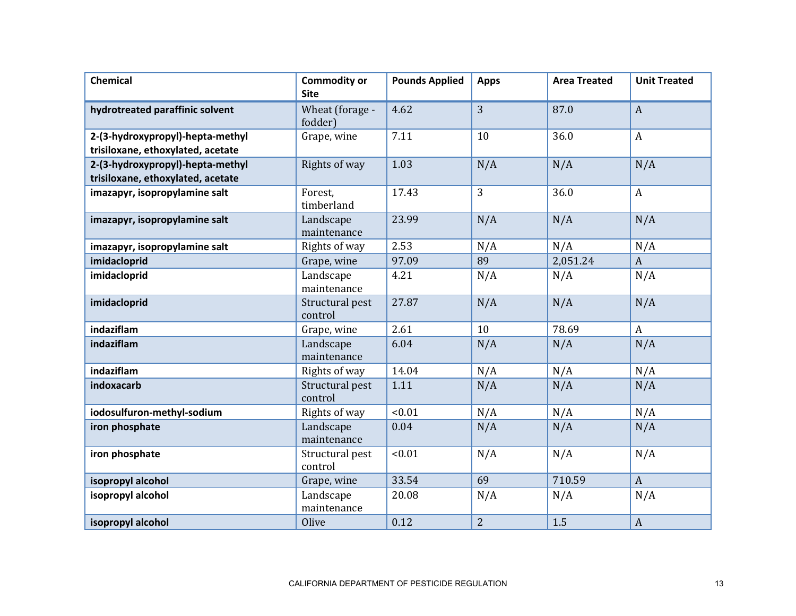| <b>Chemical</b>                                                       | <b>Commodity or</b><br><b>Site</b> | <b>Pounds Applied</b> | <b>Apps</b>    | <b>Area Treated</b> | <b>Unit Treated</b> |
|-----------------------------------------------------------------------|------------------------------------|-----------------------|----------------|---------------------|---------------------|
| hydrotreated paraffinic solvent                                       | Wheat (forage -<br>fodder)         | 4.62                  | 3              | 87.0                | $\mathbf{A}$        |
| 2-(3-hydroxypropyl)-hepta-methyl<br>trisiloxane, ethoxylated, acetate | Grape, wine                        | 7.11                  | 10             | 36.0                | $\mathbf{A}$        |
| 2-(3-hydroxypropyl)-hepta-methyl<br>trisiloxane, ethoxylated, acetate | Rights of way                      | 1.03                  | N/A            | N/A                 | N/A                 |
| imazapyr, isopropylamine salt                                         | Forest,<br>timberland              | 17.43                 | 3              | 36.0                | $\boldsymbol{A}$    |
| imazapyr, isopropylamine salt                                         | Landscape<br>maintenance           | 23.99                 | N/A            | N/A                 | N/A                 |
| imazapyr, isopropylamine salt                                         | Rights of way                      | 2.53                  | N/A            | N/A                 | N/A                 |
| imidacloprid                                                          | Grape, wine                        | 97.09                 | 89             | 2,051.24            | $\mathbf{A}$        |
| imidacloprid                                                          | Landscape<br>maintenance           | 4.21                  | N/A            | N/A                 | N/A                 |
| imidacloprid                                                          | Structural pest<br>control         | 27.87                 | N/A            | N/A                 | N/A                 |
| indaziflam                                                            | Grape, wine                        | 2.61                  | 10             | 78.69               | $\mathbf{A}$        |
| indaziflam                                                            | Landscape<br>maintenance           | 6.04                  | N/A            | N/A                 | N/A                 |
| indaziflam                                                            | Rights of way                      | 14.04                 | N/A            | N/A                 | N/A                 |
| indoxacarb                                                            | Structural pest<br>control         | 1.11                  | N/A            | N/A                 | N/A                 |
| iodosulfuron-methyl-sodium                                            | Rights of way                      | < 0.01                | N/A            | N/A                 | N/A                 |
| iron phosphate                                                        | Landscape<br>maintenance           | 0.04                  | N/A            | N/A                 | N/A                 |
| iron phosphate                                                        | Structural pest<br>control         | < 0.01                | N/A            | N/A                 | N/A                 |
| isopropyl alcohol                                                     | Grape, wine                        | 33.54                 | 69             | 710.59              | $\mathbf{A}$        |
| isopropyl alcohol                                                     | Landscape<br>maintenance           | 20.08                 | N/A            | N/A                 | N/A                 |
| isopropyl alcohol                                                     | Olive                              | 0.12                  | $\overline{2}$ | 1.5                 | $\boldsymbol{A}$    |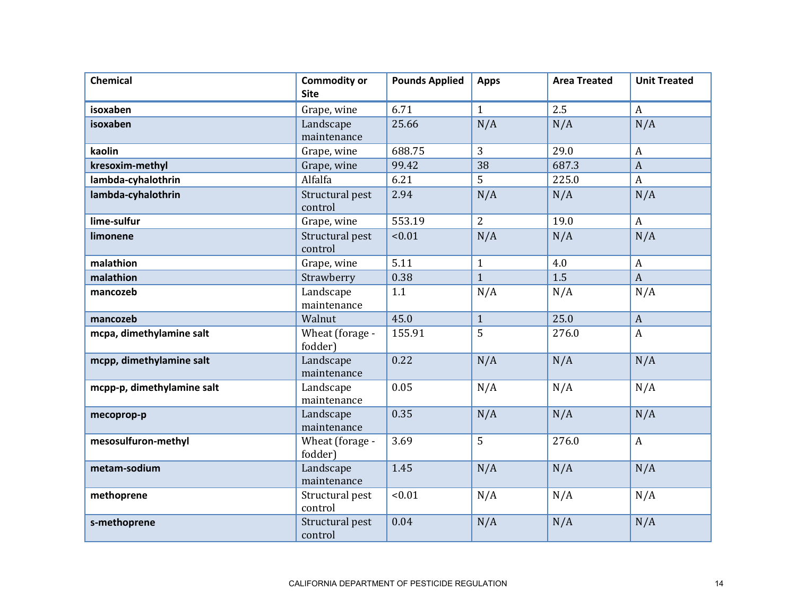| <b>Chemical</b>            | <b>Commodity or</b><br><b>Site</b> | <b>Pounds Applied</b> | <b>Apps</b>    | <b>Area Treated</b> | <b>Unit Treated</b> |
|----------------------------|------------------------------------|-----------------------|----------------|---------------------|---------------------|
| isoxaben                   | Grape, wine                        | 6.71                  | $\mathbf{1}$   | 2.5                 | $\boldsymbol{A}$    |
| isoxaben                   | Landscape<br>maintenance           | 25.66                 | N/A            | N/A                 | N/A                 |
| kaolin                     | Grape, wine                        | 688.75                | 3              | 29.0                | $\boldsymbol{A}$    |
| kresoxim-methyl            | Grape, wine                        | 99.42                 | 38             | 687.3               | $\overline{A}$      |
| lambda-cyhalothrin         | Alfalfa                            | 6.21                  | 5              | 225.0               | $\boldsymbol{A}$    |
| lambda-cyhalothrin         | Structural pest<br>control         | 2.94                  | N/A            | N/A                 | N/A                 |
| lime-sulfur                | Grape, wine                        | 553.19                | $\overline{2}$ | 19.0                | $\boldsymbol{A}$    |
| limonene                   | Structural pest<br>control         | < 0.01                | N/A            | N/A                 | N/A                 |
| malathion                  | Grape, wine                        | 5.11                  | $\mathbf{1}$   | 4.0                 | A                   |
| malathion                  | Strawberry                         | 0.38                  | $\overline{1}$ | 1.5                 | $\overline{A}$      |
| mancozeb                   | Landscape<br>maintenance           | 1.1                   | N/A            | N/A                 | N/A                 |
| mancozeb                   | Walnut                             | 45.0                  | $\mathbf{1}$   | 25.0                | $\boldsymbol{A}$    |
| mcpa, dimethylamine salt   | Wheat (forage -<br>fodder)         | 155.91                | 5              | 276.0               | $\boldsymbol{A}$    |
| mcpp, dimethylamine salt   | Landscape<br>maintenance           | 0.22                  | N/A            | N/A                 | N/A                 |
| mcpp-p, dimethylamine salt | Landscape<br>maintenance           | 0.05                  | N/A            | N/A                 | N/A                 |
| mecoprop-p                 | Landscape<br>maintenance           | 0.35                  | N/A            | N/A                 | N/A                 |
| mesosulfuron-methyl        | Wheat (forage -<br>fodder)         | 3.69                  | 5              | 276.0               | $\mathbf{A}$        |
| metam-sodium               | Landscape<br>maintenance           | 1.45                  | N/A            | N/A                 | N/A                 |
| methoprene                 | Structural pest<br>control         | < 0.01                | N/A            | N/A                 | N/A                 |
| s-methoprene               | Structural pest<br>control         | 0.04                  | N/A            | N/A                 | N/A                 |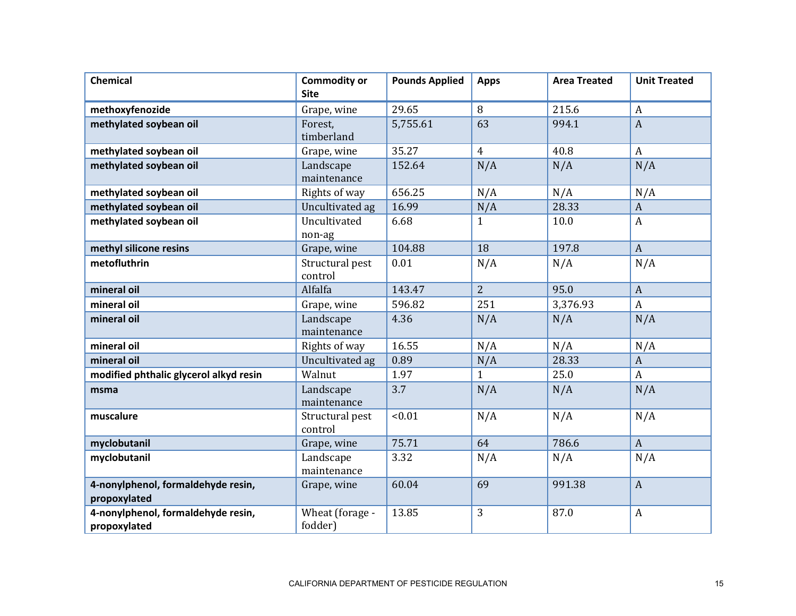| <b>Chemical</b>                                    | <b>Commodity or</b><br><b>Site</b> | <b>Pounds Applied</b> | <b>Apps</b>    | <b>Area Treated</b> | <b>Unit Treated</b> |
|----------------------------------------------------|------------------------------------|-----------------------|----------------|---------------------|---------------------|
| methoxyfenozide                                    | Grape, wine                        | 29.65                 | 8              | 215.6               | $\boldsymbol{A}$    |
| methylated soybean oil                             | Forest,<br>timberland              | 5,755.61              | 63             | 994.1               | $\overline{A}$      |
| methylated soybean oil                             | Grape, wine                        | 35.27                 | $\overline{4}$ | 40.8                | $\boldsymbol{A}$    |
| methylated soybean oil                             | Landscape<br>maintenance           | 152.64                | N/A            | N/A                 | N/A                 |
| methylated soybean oil                             | Rights of way                      | 656.25                | N/A            | N/A                 | N/A                 |
| methylated soybean oil                             | Uncultivated ag                    | 16.99                 | N/A            | 28.33               | $\boldsymbol{A}$    |
| methylated soybean oil                             | Uncultivated<br>non-ag             | 6.68                  | $\mathbf{1}$   | 10.0                | $\boldsymbol{A}$    |
| methyl silicone resins                             | Grape, wine                        | 104.88                | 18             | 197.8               | $\mathbf{A}$        |
| metofluthrin                                       | Structural pest<br>control         | 0.01                  | N/A            | N/A                 | N/A                 |
| mineral oil                                        | Alfalfa                            | 143.47                | $\overline{2}$ | 95.0                | $\boldsymbol{A}$    |
| mineral oil                                        | Grape, wine                        | 596.82                | 251            | 3,376.93            | $\mathbf{A}$        |
| mineral oil                                        | Landscape<br>maintenance           | 4.36                  | N/A            | N/A                 | N/A                 |
| mineral oil                                        | Rights of way                      | 16.55                 | N/A            | N/A                 | N/A                 |
| mineral oil                                        | Uncultivated ag                    | 0.89                  | N/A            | 28.33               | $\boldsymbol{A}$    |
| modified phthalic glycerol alkyd resin             | Walnut                             | 1.97                  | $\mathbf{1}$   | 25.0                | $\boldsymbol{A}$    |
| msma                                               | Landscape<br>maintenance           | 3.7                   | N/A            | N/A                 | N/A                 |
| muscalure                                          | Structural pest<br>control         | < 0.01                | N/A            | N/A                 | N/A                 |
| myclobutanil                                       | Grape, wine                        | 75.71                 | 64             | 786.6               | $\mathbf{A}$        |
| myclobutanil                                       | Landscape<br>maintenance           | 3.32                  | N/A            | N/A                 | N/A                 |
| 4-nonylphenol, formaldehyde resin,<br>propoxylated | Grape, wine                        | 60.04                 | 69             | 991.38              | $\boldsymbol{A}$    |
| 4-nonylphenol, formaldehyde resin,<br>propoxylated | Wheat (forage -<br>fodder)         | 13.85                 | 3              | 87.0                | $\boldsymbol{A}$    |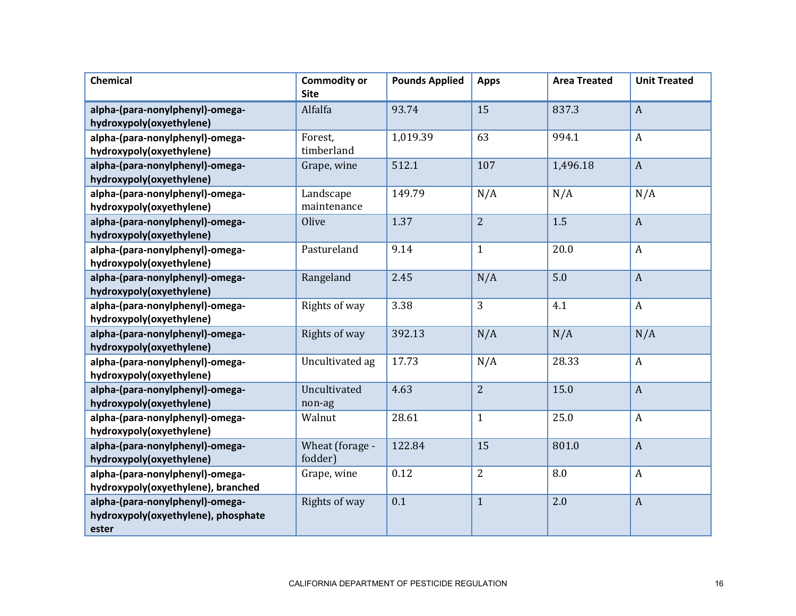| <b>Chemical</b>                                                                 | <b>Commodity or</b><br><b>Site</b> | <b>Pounds Applied</b> | <b>Apps</b>    | <b>Area Treated</b> | <b>Unit Treated</b> |
|---------------------------------------------------------------------------------|------------------------------------|-----------------------|----------------|---------------------|---------------------|
| alpha-(para-nonylphenyl)-omega-<br>hydroxypoly(oxyethylene)                     | Alfalfa                            | 93.74                 | 15             | 837.3               | $\boldsymbol{A}$    |
| alpha-(para-nonylphenyl)-omega-<br>hydroxypoly(oxyethylene)                     | Forest,<br>timberland              | 1,019.39              | 63             | 994.1               | $\mathbf{A}$        |
| alpha-(para-nonylphenyl)-omega-<br>hydroxypoly(oxyethylene)                     | Grape, wine                        | 512.1                 | 107            | 1,496.18            | $\mathbf{A}$        |
| alpha-(para-nonylphenyl)-omega-<br>hydroxypoly(oxyethylene)                     | Landscape<br>maintenance           | 149.79                | N/A            | N/A                 | N/A                 |
| alpha-(para-nonylphenyl)-omega-<br>hydroxypoly(oxyethylene)                     | Olive                              | 1.37                  | $\overline{2}$ | 1.5                 | $\overline{A}$      |
| alpha-(para-nonylphenyl)-omega-<br>hydroxypoly(oxyethylene)                     | Pastureland                        | 9.14                  | $\mathbf{1}$   | 20.0                | $\boldsymbol{A}$    |
| alpha-(para-nonylphenyl)-omega-<br>hydroxypoly(oxyethylene)                     | Rangeland                          | 2.45                  | N/A            | 5.0                 | $\overline{A}$      |
| alpha-(para-nonylphenyl)-omega-<br>hydroxypoly(oxyethylene)                     | Rights of way                      | 3.38                  | 3              | 4.1                 | $\boldsymbol{A}$    |
| alpha-(para-nonylphenyl)-omega-<br>hydroxypoly(oxyethylene)                     | Rights of way                      | 392.13                | N/A            | N/A                 | N/A                 |
| alpha-(para-nonylphenyl)-omega-<br>hydroxypoly(oxyethylene)                     | Uncultivated ag                    | 17.73                 | N/A            | 28.33               | $\boldsymbol{A}$    |
| alpha-(para-nonylphenyl)-omega-<br>hydroxypoly(oxyethylene)                     | Uncultivated<br>non-ag             | 4.63                  | $\overline{2}$ | 15.0                | $\overline{A}$      |
| alpha-(para-nonylphenyl)-omega-<br>hydroxypoly(oxyethylene)                     | Walnut                             | 28.61                 | $\mathbf{1}$   | 25.0                | $\boldsymbol{A}$    |
| alpha-(para-nonylphenyl)-omega-<br>hydroxypoly(oxyethylene)                     | Wheat (forage -<br>fodder)         | 122.84                | 15             | 801.0               | $\boldsymbol{A}$    |
| alpha-(para-nonylphenyl)-omega-<br>hydroxypoly(oxyethylene), branched           | Grape, wine                        | 0.12                  | $\overline{2}$ | 8.0                 | $\boldsymbol{A}$    |
| alpha-(para-nonylphenyl)-omega-<br>hydroxypoly(oxyethylene), phosphate<br>ester | Rights of way                      | 0.1                   | $\mathbf{1}$   | 2.0                 | $\boldsymbol{A}$    |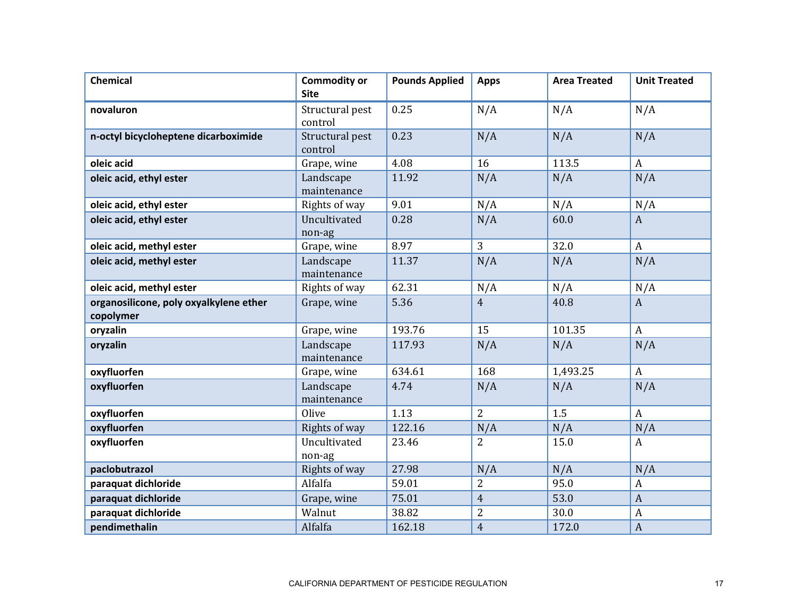| Chemical                               | <b>Commodity or</b><br><b>Site</b> | <b>Pounds Applied</b> | <b>Apps</b>    | <b>Area Treated</b> | <b>Unit Treated</b> |
|----------------------------------------|------------------------------------|-----------------------|----------------|---------------------|---------------------|
| novaluron                              | Structural pest<br>control         | 0.25                  | N/A            | N/A                 | N/A                 |
| n-octyl bicycloheptene dicarboximide   | Structural pest<br>control         | 0.23                  | N/A            | N/A                 | N/A                 |
| oleic acid                             | Grape, wine                        | 4.08                  | 16             | 113.5               | $\mathbf{A}$        |
| oleic acid, ethyl ester                | Landscape<br>maintenance           | 11.92                 | N/A            | N/A                 | N/A                 |
| oleic acid, ethyl ester                | Rights of way                      | 9.01                  | N/A            | N/A                 | N/A                 |
| oleic acid, ethyl ester                | Uncultivated<br>non-ag             | 0.28                  | N/A            | 60.0                | $\mathbf{A}$        |
| oleic acid, methyl ester               | Grape, wine                        | 8.97                  | 3              | 32.0                | $\boldsymbol{A}$    |
| oleic acid, methyl ester               | Landscape<br>maintenance           | 11.37                 | N/A            | N/A                 | N/A                 |
| oleic acid, methyl ester               | Rights of way                      | 62.31                 | N/A            | N/A                 | N/A                 |
| organosilicone, poly oxyalkylene ether | Grape, wine                        | 5.36                  | $\overline{4}$ | 40.8                | $\mathbf{A}$        |
| copolymer                              |                                    |                       |                |                     |                     |
| oryzalin                               | Grape, wine                        | 193.76                | 15             | 101.35              | $\mathbf{A}$        |
| oryzalin                               | Landscape<br>maintenance           | 117.93                | N/A            | N/A                 | N/A                 |
| oxyfluorfen                            | Grape, wine                        | 634.61                | 168            | 1,493.25            | $\boldsymbol{A}$    |
| oxyfluorfen                            | Landscape<br>maintenance           | 4.74                  | N/A            | N/A                 | N/A                 |
| oxyfluorfen                            | Olive                              | 1.13                  | $\overline{2}$ | 1.5                 | $\mathbf{A}$        |
| oxyfluorfen                            | Rights of way                      | 122.16                | N/A            | N/A                 | N/A                 |
| oxyfluorfen                            | Uncultivated<br>non-ag             | 23.46                 | $\overline{2}$ | 15.0                | $\mathbf{A}$        |
| paclobutrazol                          | Rights of way                      | 27.98                 | N/A            | N/A                 | N/A                 |
| paraquat dichloride                    | Alfalfa                            | 59.01                 | $\overline{2}$ | 95.0                | A                   |
| paraquat dichloride                    | Grape, wine                        | 75.01                 | $\overline{4}$ | 53.0                | $\overline{A}$      |
| paraquat dichloride                    | Walnut                             | 38.82                 | $\overline{2}$ | 30.0                | $\boldsymbol{A}$    |
| pendimethalin                          | Alfalfa                            | 162.18                | $\overline{4}$ | 172.0               | $\boldsymbol{A}$    |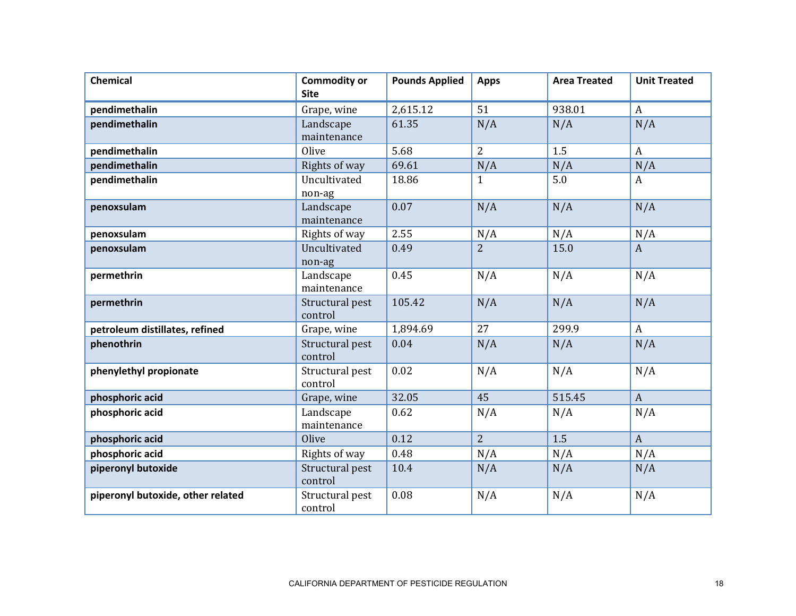| Chemical                          | <b>Commodity or</b><br><b>Site</b> | <b>Pounds Applied</b> | <b>Apps</b>    | <b>Area Treated</b> | <b>Unit Treated</b> |
|-----------------------------------|------------------------------------|-----------------------|----------------|---------------------|---------------------|
| pendimethalin                     | Grape, wine                        | 2,615.12              | 51             | 938.01              | $\boldsymbol{A}$    |
| pendimethalin                     | Landscape<br>maintenance           | 61.35                 | N/A            | N/A                 | N/A                 |
| pendimethalin                     | Olive                              | 5.68                  | 2              | 1.5                 | $\boldsymbol{A}$    |
| pendimethalin                     | Rights of way                      | 69.61                 | N/A            | N/A                 | N/A                 |
| pendimethalin                     | Uncultivated<br>non-ag             | 18.86                 | $\mathbf{1}$   | 5.0                 | $\mathbf{A}$        |
| penoxsulam                        | Landscape<br>maintenance           | 0.07                  | N/A            | N/A                 | N/A                 |
| penoxsulam                        | Rights of way                      | 2.55                  | N/A            | N/A                 | N/A                 |
| penoxsulam                        | Uncultivated<br>non-ag             | 0.49                  | $\overline{2}$ | 15.0                | $\mathbf{A}$        |
| permethrin                        | Landscape<br>maintenance           | 0.45                  | N/A            | N/A                 | N/A                 |
| permethrin                        | Structural pest<br>control         | 105.42                | N/A            | N/A                 | N/A                 |
| petroleum distillates, refined    | Grape, wine                        | 1,894.69              | 27             | 299.9               | $\boldsymbol{A}$    |
| phenothrin                        | Structural pest<br>control         | 0.04                  | N/A            | N/A                 | N/A                 |
| phenylethyl propionate            | Structural pest<br>control         | 0.02                  | N/A            | N/A                 | N/A                 |
| phosphoric acid                   | Grape, wine                        | 32.05                 | 45             | 515.45              | $\mathbf{A}$        |
| phosphoric acid                   | Landscape<br>maintenance           | 0.62                  | N/A            | N/A                 | N/A                 |
| phosphoric acid                   | Olive                              | 0.12                  | $\overline{2}$ | 1.5                 | $\mathbf{A}$        |
| phosphoric acid                   | Rights of way                      | 0.48                  | N/A            | N/A                 | N/A                 |
| piperonyl butoxide                | Structural pest<br>control         | 10.4                  | N/A            | N/A                 | N/A                 |
| piperonyl butoxide, other related | Structural pest<br>control         | 0.08                  | N/A            | N/A                 | N/A                 |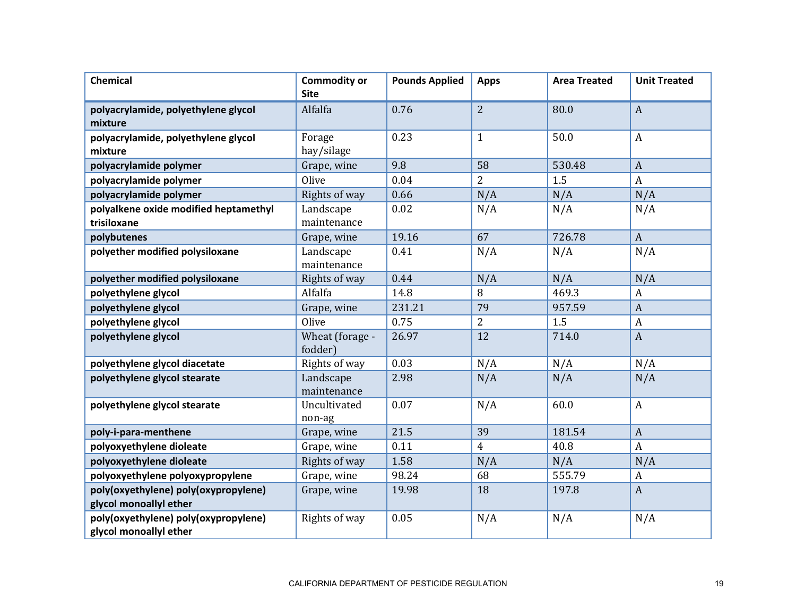| <b>Chemical</b>                                                | <b>Commodity or</b><br><b>Site</b> | <b>Pounds Applied</b> | <b>Apps</b>    | <b>Area Treated</b> | <b>Unit Treated</b> |
|----------------------------------------------------------------|------------------------------------|-----------------------|----------------|---------------------|---------------------|
| polyacrylamide, polyethylene glycol<br>mixture                 | Alfalfa                            | 0.76                  | $\overline{2}$ | 80.0                | $\overline{A}$      |
| polyacrylamide, polyethylene glycol<br>mixture                 | Forage<br>hay/silage               | 0.23                  | $\mathbf{1}$   | 50.0                | A                   |
| polyacrylamide polymer                                         | Grape, wine                        | 9.8                   | 58             | 530.48              | $\boldsymbol{A}$    |
| polyacrylamide polymer                                         | Olive                              | 0.04                  | $\overline{2}$ | 1.5                 | $\boldsymbol{A}$    |
| polyacrylamide polymer                                         | Rights of way                      | 0.66                  | N/A            | N/A                 | N/A                 |
| polyalkene oxide modified heptamethyl<br>trisiloxane           | Landscape<br>maintenance           | 0.02                  | N/A            | N/A                 | N/A                 |
| polybutenes                                                    | Grape, wine                        | 19.16                 | 67             | 726.78              | $\boldsymbol{A}$    |
| polyether modified polysiloxane                                | Landscape<br>maintenance           | 0.41                  | N/A            | N/A                 | N/A                 |
| polyether modified polysiloxane                                | Rights of way                      | 0.44                  | N/A            | N/A                 | N/A                 |
| polyethylene glycol                                            | Alfalfa                            | 14.8                  | 8              | 469.3               | A                   |
| polyethylene glycol                                            | Grape, wine                        | 231.21                | 79             | 957.59              | $\boldsymbol{A}$    |
| polyethylene glycol                                            | Olive                              | 0.75                  | $\overline{2}$ | 1.5                 | $\boldsymbol{A}$    |
| polyethylene glycol                                            | Wheat (forage -<br>fodder)         | 26.97                 | 12             | 714.0               | $\boldsymbol{A}$    |
| polyethylene glycol diacetate                                  | Rights of way                      | 0.03                  | N/A            | N/A                 | N/A                 |
| polyethylene glycol stearate                                   | Landscape<br>maintenance           | 2.98                  | N/A            | N/A                 | N/A                 |
| polyethylene glycol stearate                                   | Uncultivated<br>non-ag             | 0.07                  | N/A            | 60.0                | $\boldsymbol{A}$    |
| poly-i-para-menthene                                           | Grape, wine                        | 21.5                  | 39             | 181.54              | $\overline{A}$      |
| polyoxyethylene dioleate                                       | Grape, wine                        | 0.11                  | $\overline{4}$ | 40.8                | $\boldsymbol{A}$    |
| polyoxyethylene dioleate                                       | Rights of way                      | 1.58                  | N/A            | N/A                 | N/A                 |
| polyoxyethylene polyoxypropylene                               | Grape, wine                        | 98.24                 | 68             | 555.79              | $\boldsymbol{A}$    |
| poly(oxyethylene) poly(oxypropylene)<br>glycol monoallyl ether | Grape, wine                        | 19.98                 | 18             | 197.8               | $\boldsymbol{A}$    |
| poly(oxyethylene) poly(oxypropylene)<br>glycol monoallyl ether | Rights of way                      | 0.05                  | N/A            | N/A                 | N/A                 |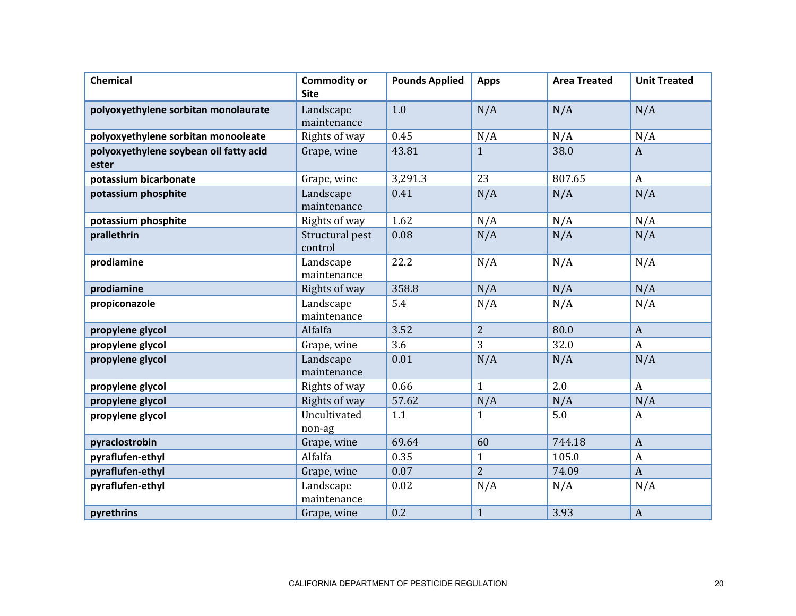| <b>Chemical</b>                                 | <b>Commodity or</b><br><b>Site</b> | <b>Pounds Applied</b> | <b>Apps</b>    | <b>Area Treated</b> | <b>Unit Treated</b> |
|-------------------------------------------------|------------------------------------|-----------------------|----------------|---------------------|---------------------|
| polyoxyethylene sorbitan monolaurate            | Landscape<br>maintenance           | 1.0                   | N/A            | N/A                 | N/A                 |
| polyoxyethylene sorbitan monooleate             | Rights of way                      | 0.45                  | N/A            | N/A                 | N/A                 |
| polyoxyethylene soybean oil fatty acid<br>ester | Grape, wine                        | 43.81                 | $\mathbf{1}$   | 38.0                | $\mathbf{A}$        |
| potassium bicarbonate                           | Grape, wine                        | 3,291.3               | 23             | 807.65              | $\boldsymbol{A}$    |
| potassium phosphite                             | Landscape<br>maintenance           | 0.41                  | N/A            | N/A                 | N/A                 |
| potassium phosphite                             | Rights of way                      | 1.62                  | N/A            | N/A                 | N/A                 |
| prallethrin                                     | Structural pest<br>control         | 0.08                  | N/A            | N/A                 | N/A                 |
| prodiamine                                      | Landscape<br>maintenance           | 22.2                  | N/A            | N/A                 | N/A                 |
| prodiamine                                      | Rights of way                      | 358.8                 | N/A            | N/A                 | N/A                 |
| propiconazole                                   | Landscape<br>maintenance           | 5.4                   | N/A            | N/A                 | N/A                 |
| propylene glycol                                | Alfalfa                            | 3.52                  | $\overline{2}$ | 80.0                | $\boldsymbol{A}$    |
| propylene glycol                                | Grape, wine                        | 3.6                   | 3              | 32.0                | $\boldsymbol{A}$    |
| propylene glycol                                | Landscape<br>maintenance           | 0.01                  | N/A            | N/A                 | N/A                 |
| propylene glycol                                | Rights of way                      | 0.66                  | $\mathbf{1}$   | 2.0                 | $\boldsymbol{A}$    |
| propylene glycol                                | Rights of way                      | 57.62                 | N/A            | N/A                 | N/A                 |
| propylene glycol                                | Uncultivated<br>non-ag             | 1.1                   | $\mathbf{1}$   | 5.0                 | $\boldsymbol{A}$    |
| pyraclostrobin                                  | Grape, wine                        | 69.64                 | 60             | 744.18              | $\boldsymbol{A}$    |
| pyraflufen-ethyl                                | Alfalfa                            | 0.35                  | $\mathbf{1}$   | 105.0               | $\boldsymbol{A}$    |
| pyraflufen-ethyl                                | Grape, wine                        | 0.07                  | $\overline{2}$ | 74.09               | $\overline{A}$      |
| pyraflufen-ethyl                                | Landscape<br>maintenance           | 0.02                  | N/A            | N/A                 | N/A                 |
| pyrethrins                                      | Grape, wine                        | 0.2                   | $\mathbf{1}$   | 3.93                | $\boldsymbol{A}$    |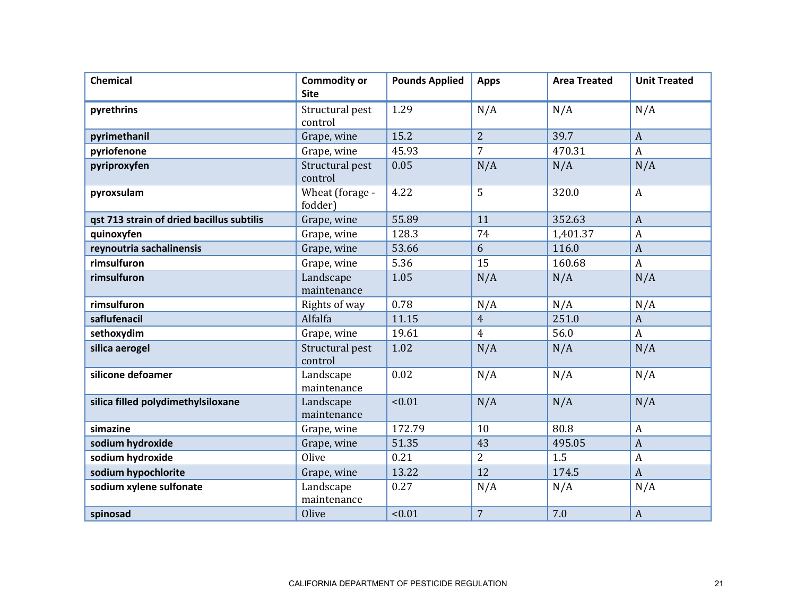| <b>Chemical</b>                           | <b>Commodity or</b><br><b>Site</b> | <b>Pounds Applied</b> | <b>Apps</b>    | <b>Area Treated</b> | <b>Unit Treated</b> |
|-------------------------------------------|------------------------------------|-----------------------|----------------|---------------------|---------------------|
| pyrethrins                                | Structural pest<br>control         | 1.29                  | N/A            | N/A                 | N/A                 |
| pyrimethanil                              | Grape, wine                        | 15.2                  | $\overline{2}$ | 39.7                | $\overline{A}$      |
| pyriofenone                               | Grape, wine                        | 45.93                 | $\overline{7}$ | 470.31              | $\boldsymbol{A}$    |
| pyriproxyfen                              | Structural pest<br>control         | 0.05                  | N/A            | N/A                 | N/A                 |
| pyroxsulam                                | Wheat (forage -<br>fodder)         | 4.22                  | 5              | 320.0               | $\boldsymbol{A}$    |
| gst 713 strain of dried bacillus subtilis | Grape, wine                        | 55.89                 | 11             | 352.63              | $\mathbf{A}$        |
| quinoxyfen                                | Grape, wine                        | 128.3                 | 74             | 1,401.37            | $\overline{A}$      |
| reynoutria sachalinensis                  | Grape, wine                        | 53.66                 | 6              | 116.0               | $\overline{A}$      |
| rimsulfuron                               | Grape, wine                        | 5.36                  | 15             | 160.68              | $\mathbf{A}$        |
| rimsulfuron                               | Landscape<br>maintenance           | 1.05                  | N/A            | N/A                 | N/A                 |
| rimsulfuron                               | Rights of way                      | 0.78                  | N/A            | N/A                 | N/A                 |
| saflufenacil                              | Alfalfa                            | 11.15                 | $\overline{4}$ | 251.0               | $\boldsymbol{A}$    |
| sethoxydim                                | Grape, wine                        | 19.61                 | $\overline{4}$ | 56.0                | $\boldsymbol{A}$    |
| silica aerogel                            | Structural pest<br>control         | 1.02                  | N/A            | N/A                 | N/A                 |
| silicone defoamer                         | Landscape<br>maintenance           | 0.02                  | N/A            | N/A                 | N/A                 |
| silica filled polydimethylsiloxane        | Landscape<br>maintenance           | < 0.01                | N/A            | N/A                 | N/A                 |
| simazine                                  | Grape, wine                        | 172.79                | 10             | 80.8                | $\overline{A}$      |
| sodium hydroxide                          | Grape, wine                        | 51.35                 | 43             | 495.05              | $\overline{A}$      |
| sodium hydroxide                          | Olive                              | 0.21                  | $\overline{2}$ | 1.5                 | A                   |
| sodium hypochlorite                       | Grape, wine                        | 13.22                 | 12             | 174.5               | $\overline{A}$      |
| sodium xylene sulfonate                   | Landscape<br>maintenance           | 0.27                  | N/A            | N/A                 | N/A                 |
| spinosad                                  | Olive                              | < 0.01                | $\overline{7}$ | 7.0                 | $\mathbf{A}$        |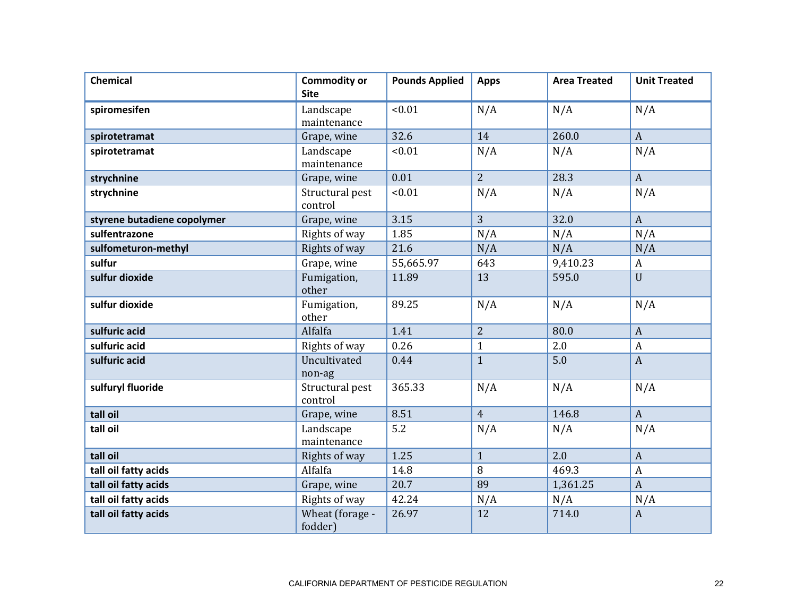| <b>Chemical</b>             | <b>Commodity or</b><br><b>Site</b> | <b>Pounds Applied</b> | <b>Apps</b>    | <b>Area Treated</b> | <b>Unit Treated</b> |
|-----------------------------|------------------------------------|-----------------------|----------------|---------------------|---------------------|
| spiromesifen                | Landscape<br>maintenance           | < 0.01                | N/A            | N/A                 | N/A                 |
| spirotetramat               | Grape, wine                        | 32.6                  | 14             | 260.0               | $\mathbf{A}$        |
| spirotetramat               | Landscape<br>maintenance           | < 0.01                | N/A            | N/A                 | N/A                 |
| strychnine                  | Grape, wine                        | 0.01                  | $\overline{2}$ | 28.3                | $\mathbf{A}$        |
| strychnine                  | Structural pest<br>control         | < 0.01                | N/A            | N/A                 | N/A                 |
| styrene butadiene copolymer | Grape, wine                        | 3.15                  | 3              | 32.0                | $\boldsymbol{A}$    |
| sulfentrazone               | Rights of way                      | 1.85                  | N/A            | N/A                 | N/A                 |
| sulfometuron-methyl         | Rights of way                      | 21.6                  | N/A            | N/A                 | N/A                 |
| sulfur                      | Grape, wine                        | 55,665.97             | 643            | 9,410.23            | $\boldsymbol{A}$    |
| sulfur dioxide              | Fumigation,<br>other               | 11.89                 | 13             | 595.0               | U                   |
| sulfur dioxide              | Fumigation,<br>other               | 89.25                 | N/A            | N/A                 | N/A                 |
| sulfuric acid               | Alfalfa                            | 1.41                  | $\overline{2}$ | 80.0                | $\mathbf{A}$        |
| sulfuric acid               | Rights of way                      | 0.26                  | $\mathbf{1}$   | 2.0                 | $\boldsymbol{A}$    |
| sulfuric acid               | Uncultivated<br>non-ag             | 0.44                  | $\mathbf{1}$   | 5.0                 | $\mathbf{A}$        |
| sulfuryl fluoride           | Structural pest<br>control         | 365.33                | N/A            | N/A                 | N/A                 |
| tall oil                    | Grape, wine                        | 8.51                  | $\overline{4}$ | 146.8               | $\mathbf{A}$        |
| tall oil                    | Landscape<br>maintenance           | 5.2                   | N/A            | N/A                 | N/A                 |
| tall oil                    | Rights of way                      | 1.25                  | $\mathbf{1}$   | 2.0                 | $\mathbf{A}$        |
| tall oil fatty acids        | Alfalfa                            | 14.8                  | 8              | 469.3               | $\boldsymbol{A}$    |
| tall oil fatty acids        | Grape, wine                        | 20.7                  | 89             | 1,361.25            | $\overline{A}$      |
| tall oil fatty acids        | Rights of way                      | 42.24                 | N/A            | N/A                 | N/A                 |
| tall oil fatty acids        | Wheat (forage -<br>fodder)         | 26.97                 | 12             | 714.0               | $\mathbf{A}$        |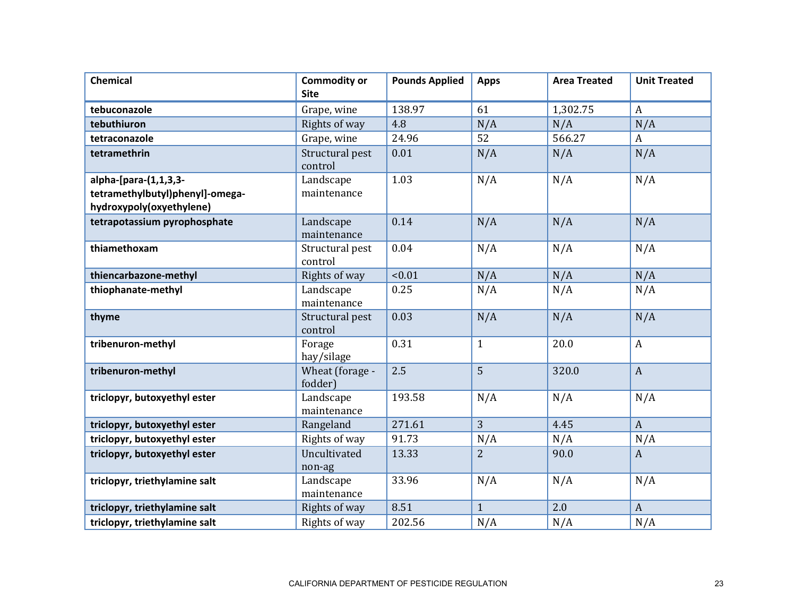| <b>Chemical</b>                 | <b>Commodity or</b><br><b>Site</b> | <b>Pounds Applied</b> | <b>Apps</b>    | <b>Area Treated</b> | <b>Unit Treated</b> |
|---------------------------------|------------------------------------|-----------------------|----------------|---------------------|---------------------|
| tebuconazole                    | Grape, wine                        | 138.97                | 61             | 1,302.75            | $\mathbf{A}$        |
| tebuthiuron                     | Rights of way                      | 4.8                   | N/A            | N/A                 | N/A                 |
| tetraconazole                   | Grape, wine                        | 24.96                 | 52             | 566.27              | A                   |
| tetramethrin                    | Structural pest<br>control         | 0.01                  | N/A            | N/A                 | N/A                 |
| alpha-[para-(1,1,3,3-           | Landscape                          | 1.03                  | N/A            | N/A                 | N/A                 |
| tetramethylbutyl)phenyl]-omega- | maintenance                        |                       |                |                     |                     |
| hydroxypoly(oxyethylene)        |                                    |                       |                |                     |                     |
| tetrapotassium pyrophosphate    | Landscape<br>maintenance           | 0.14                  | N/A            | N/A                 | N/A                 |
| thiamethoxam                    | Structural pest<br>control         | 0.04                  | N/A            | N/A                 | N/A                 |
| thiencarbazone-methyl           | Rights of way                      | < 0.01                | N/A            | N/A                 | N/A                 |
| thiophanate-methyl              | Landscape<br>maintenance           | 0.25                  | N/A            | N/A                 | N/A                 |
| thyme                           | Structural pest<br>control         | 0.03                  | N/A            | N/A                 | N/A                 |
| tribenuron-methyl               | Forage<br>hay/silage               | 0.31                  | $\mathbf{1}$   | 20.0                | $\boldsymbol{A}$    |
| tribenuron-methyl               | Wheat (forage -<br>fodder)         | 2.5                   | 5              | 320.0               | $\mathbf{A}$        |
| triclopyr, butoxyethyl ester    | Landscape<br>maintenance           | 193.58                | N/A            | N/A                 | N/A                 |
| triclopyr, butoxyethyl ester    | Rangeland                          | 271.61                | 3              | 4.45                | $\mathbf{A}$        |
| triclopyr, butoxyethyl ester    | Rights of way                      | 91.73                 | N/A            | N/A                 | N/A                 |
| triclopyr, butoxyethyl ester    | Uncultivated<br>non-ag             | 13.33                 | $\overline{2}$ | 90.0                | $\mathbf{A}$        |
| triclopyr, triethylamine salt   | Landscape<br>maintenance           | 33.96                 | N/A            | N/A                 | N/A                 |
| triclopyr, triethylamine salt   | Rights of way                      | 8.51                  | $\mathbf{1}$   | 2.0                 | $\boldsymbol{A}$    |
| triclopyr, triethylamine salt   | Rights of way                      | 202.56                | N/A            | N/A                 | N/A                 |